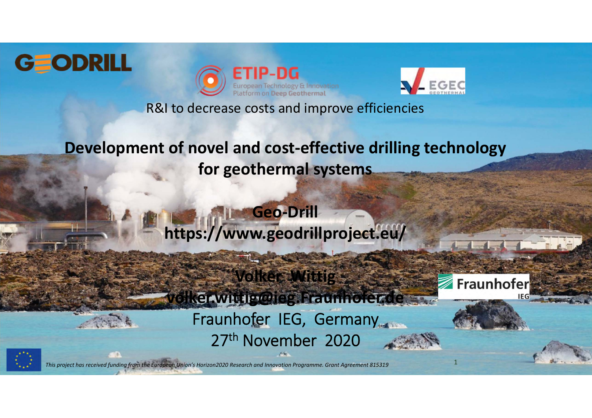





1

Fraunhofer

R&I to decrease costs and improve efficiencies

## **Development of novel and cost‐effective drilling technology for geothermal systems**

**Geo‐Drill https://www.geodrillproject.eu/**

**volker.wittig@ieg.Fraunhofer.de** Fraunhofer IEG, Germany 27<sup>th</sup> November 2020

**Volker Wittig**



*This project has received funding from the European Union's Horizon2020 Research and Innovation Programme. Grant Agreement 815319*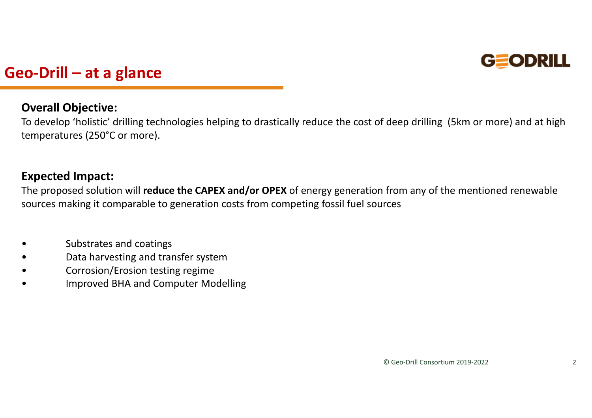

## **Geo‐Drill – at a glance**

### **Overall Objective:**

To develop 'holistic' drilling technologies helping to drastically reduce the cost of deep drilling (5km or more) and at high temperatures (250°C or more).

#### **Expected Impact:**

The proposed solution will **reduce the CAPEX and/or OPEX** of energy generation from any of the mentioned renewable sources making it comparable to generation costs from competing fossil fuel sources

- •Substrates and coatings
- •Data harvesting and transfer system
- •Corrosion/Erosion testing regime
- •Improved BHA and Computer Modelling

© Geo‐Drill Consortium 2019‐2022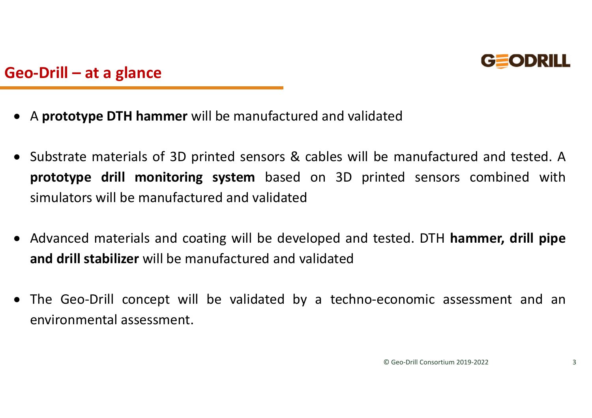

## **Geo‐Drill – at a glance**

- A **prototype DTH hammer** will be manufactured and validated
- $\bullet$  Substrate materials of 3D printed sensors & cables will be manufactured and tested. A **prototype drill monitoring system** based on 3D printed sensors combined with simulators will be manufactured and validated
- Advanced materials and coating will be developed and tested. DTH **hammer, drill pipe and drill stabilizer** will be manufactured and validated
- $\bullet$  The Geo‐Drill concept will be validated by <sup>a</sup> techno‐economic assessment and an environmental assessment.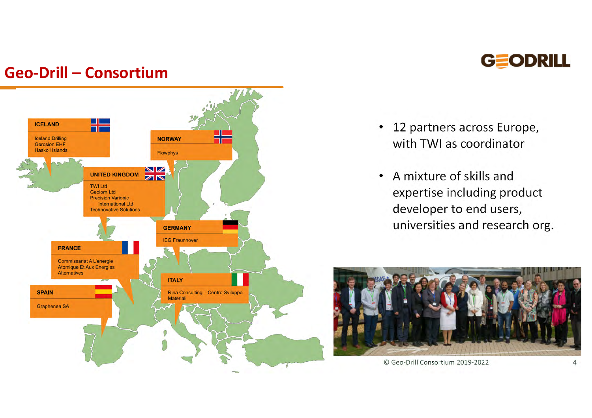

## **Geo‐Drill – Consortium**



- 12 partners across Europe, with TWI as coordinator
- A mixture of skills and expertise including product developer to end users, universities and research org.



© Geo‐Drill Consortium 2019‐2022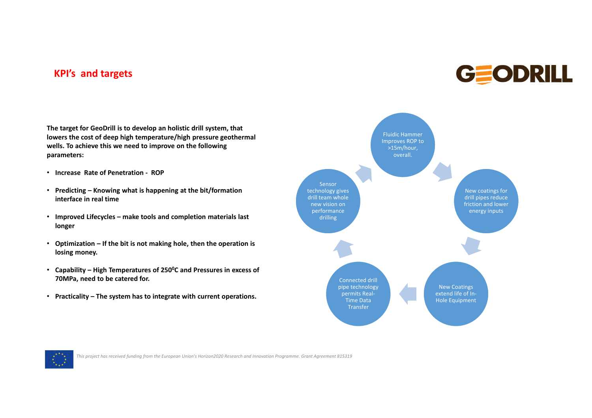#### **KPI's and targets**



**The target for GeoDrill is to develop an holistic drill system, that lowers the cost of deep high temperature/high pressure geothermal wells. To achieve this we need to improve on the following parameters:**

- **Increase Rate of Penetration ‐ ROP**
- **Predicting – Knowing what is happening at the bit/formation interface in real time**
- **Improved Lifecycles – make tools and completion materials last longer**
- **Optimization – If the bit is not making hole, then the operation is losing money.**
- **Capability – High Temperatures of 2500C and Pressures in excess of 70MPa, need to be catered for.**
- **Practicality – The system has to integrate with current operations.**



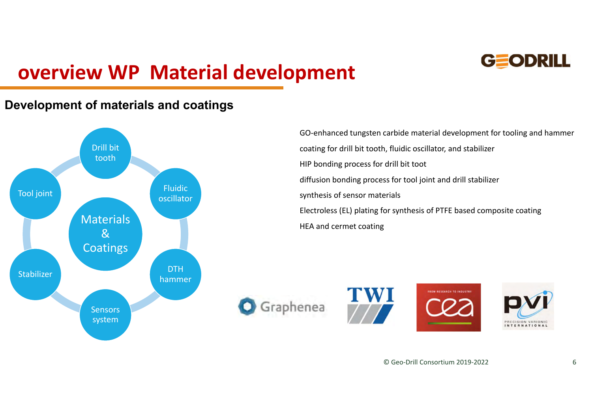

## **overview WP Material development**

### **Development of materials and coatings**



GO‐enhanced tungsten carbide material development for tooling and hammer coating for drill bit tooth, fluidic oscillator, and stabilizer HIP bonding process for drill bit toot diffusion bonding process for tool joint and drill stabilizer synthesis of sensor materials Electroless (EL) plating for synthesis of PTFE based composite coating HEA and cermet coating







© Geo‐Drill Consortium 2019‐2022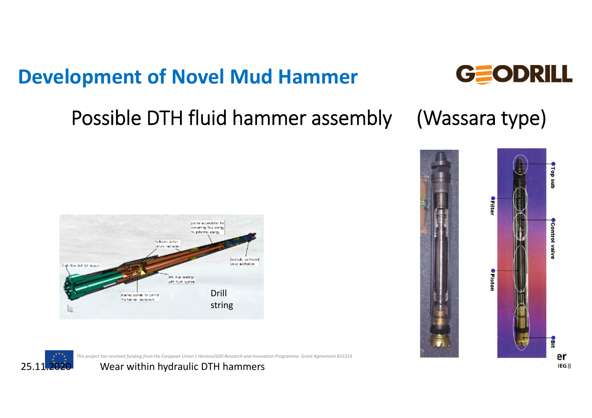# **Development of Novel Mud Hammer**



# Possible DTH fluid hammer assembly (Wassara type)







25.11.2020 Wear within hydraulic DTH hammers **82.2012.00 Wear** within hydraulic DTH hammers

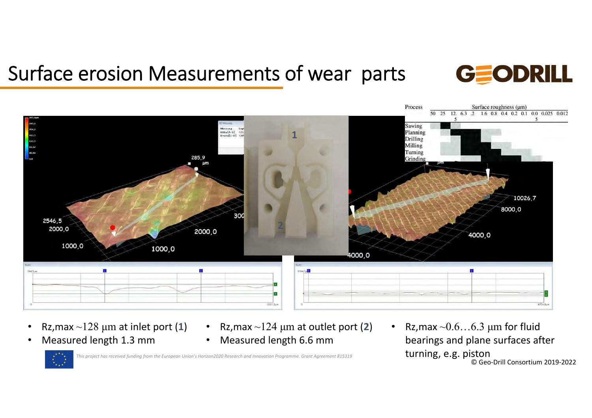# Surface erosion Measurements of wear parts

# **GEODRILL**



- •Rz, max  $\sim$  128  $\mu$ m at inlet port (1)
- •Measured length 1.3 mm
- • Rz,max ~124 μm at outlet port (**2**) •Measured length 6.6 mm
- © Geo‐Drill Consortium 2019‐2022 • Rz,max  $\sim 0.6...6.3 \mu m$  for fluid bearings and plane surfaces after turning, e.g. piston